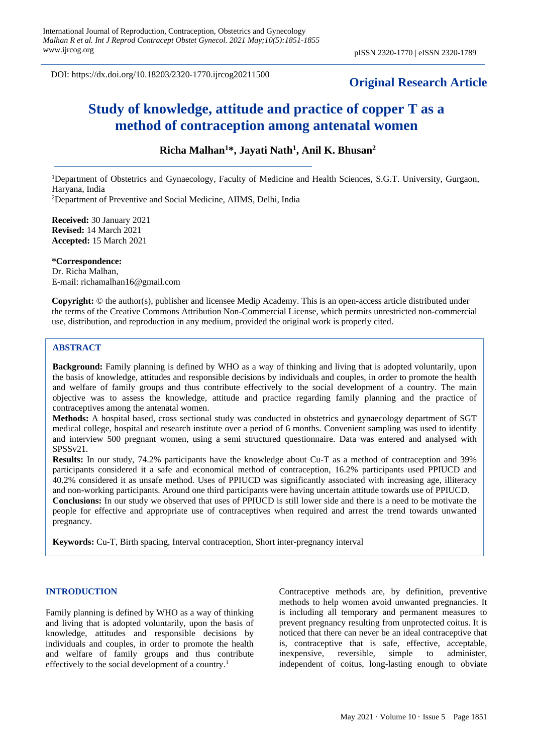DOI: https://dx.doi.org/10.18203/2320-1770.ijrcog20211500

# **Original Research Article**

# **Study of knowledge, attitude and practice of copper T as a method of contraception among antenatal women**

# **Richa Malhan<sup>1</sup>\*, Jayati Nath<sup>1</sup> , Anil K. Bhusan<sup>2</sup>**

<sup>1</sup>Department of Obstetrics and Gynaecology, Faculty of Medicine and Health Sciences, S.G.T. University, Gurgaon, Haryana, India <sup>2</sup>Department of Preventive and Social Medicine, AIIMS, Delhi, India

**Received:** 30 January 2021 **Revised:** 14 March 2021 **Accepted:** 15 March 2021

**\*Correspondence:** Dr. Richa Malhan, E-mail: richamalhan16@gmail.com

**Copyright:** © the author(s), publisher and licensee Medip Academy. This is an open-access article distributed under the terms of the Creative Commons Attribution Non-Commercial License, which permits unrestricted non-commercial use, distribution, and reproduction in any medium, provided the original work is properly cited.

### **ABSTRACT**

**Background:** Family planning is defined by WHO as a way of thinking and living that is adopted voluntarily, upon the basis of knowledge, attitudes and responsible decisions by individuals and couples, in order to promote the health and welfare of family groups and thus contribute effectively to the social development of a country. The main objective was to assess the knowledge, attitude and practice regarding family planning and the practice of contraceptives among the antenatal women.

**Methods:** A hospital based, cross sectional study was conducted in obstetrics and gynaecology department of SGT medical college, hospital and research institute over a period of 6 months. Convenient sampling was used to identify and interview 500 pregnant women, using a semi structured questionnaire. Data was entered and analysed with SPSSv21.

**Results:** In our study, 74.2% participants have the knowledge about Cu-T as a method of contraception and 39% participants considered it a safe and economical method of contraception, 16.2% participants used PPIUCD and 40.2% considered it as unsafe method. Uses of PPIUCD was significantly associated with increasing age, illiteracy and non-working participants. Around one third participants were having uncertain attitude towards use of PPIUCD. **Conclusions:** In our study we observed that uses of PPIUCD is still lower side and there is a need to be motivate the people for effective and appropriate use of contraceptives when required and arrest the trend towards unwanted pregnancy.

**Keywords:** Cu-T, Birth spacing, Interval contraception, Short inter-pregnancy interval

#### **INTRODUCTION**

Family planning is defined by WHO as a way of thinking and living that is adopted voluntarily, upon the basis of knowledge, attitudes and responsible decisions by individuals and couples, in order to promote the health and welfare of family groups and thus contribute effectively to the social development of a country.<sup>1</sup>

Contraceptive methods are, by definition, preventive methods to help women avoid unwanted pregnancies. It is including all temporary and permanent measures to prevent pregnancy resulting from unprotected coitus. It is noticed that there can never be an ideal contraceptive that is, contraceptive that is safe, effective, acceptable, inexpensive, reversible, simple to administer. inexpensive, reversible, simple to independent of coitus, long-lasting enough to obviate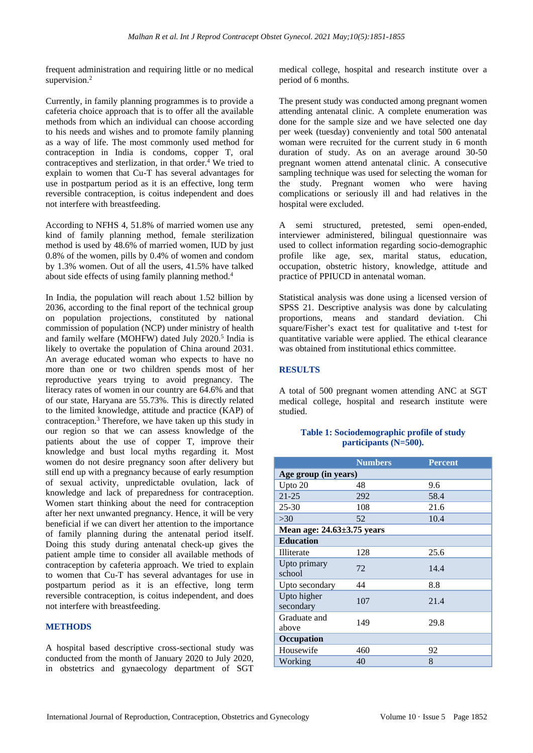frequent administration and requiring little or no medical supervision.<sup>2</sup>

Currently, in family planning programmes is to provide a cafeteria choice approach that is to offer all the available methods from which an individual can choose according to his needs and wishes and to promote family planning as a way of life. The most commonly used method for contraception in India is condoms, copper T, oral contraceptives and sterlization, in that order.<sup>4</sup> We tried to explain to women that Cu-T has several advantages for use in postpartum period as it is an effective, long term reversible contraception, is coitus independent and does not interfere with breastfeeding.

According to NFHS 4, 51.8% of married women use any kind of family planning method, female sterilization method is used by 48.6% of married women, IUD by just 0.8% of the women, pills by 0.4% of women and condom by 1.3% women. Out of all the users, 41.5% have talked about side effects of using family planning method.<sup>4</sup>

In India, the population will reach about 1.52 billion by 2036, according to the final report of the technical group on population projections, constituted by national commission of population (NCP) under ministry of health and family welfare (MOHFW) dated July 2020.<sup>5</sup> India is likely to overtake the population of China around 2031. An average educated woman who expects to have no more than one or two children spends most of her reproductive years trying to avoid pregnancy. The literacy rates of women in our country are 64.6% and that of our state, Haryana are 55.73%. This is directly related to the limited knowledge, attitude and practice (KAP) of contraception.<sup>3</sup> Therefore, we have taken up this study in our region so that we can assess knowledge of the patients about the use of copper T, improve their knowledge and bust local myths regarding it. Most women do not desire pregnancy soon after delivery but still end up with a pregnancy because of early resumption of sexual activity, unpredictable ovulation, lack of knowledge and lack of preparedness for contraception. Women start thinking about the need for contraception after her next unwanted pregnancy. Hence, it will be very beneficial if we can divert her attention to the importance of family planning during the antenatal period itself. Doing this study during antenatal check-up gives the patient ample time to consider all available methods of contraception by cafeteria approach. We tried to explain to women that Cu-T has several advantages for use in postpartum period as it is an effective, long term reversible contraception, is coitus independent, and does not interfere with breastfeeding.

#### **METHODS**

A hospital based descriptive cross-sectional study was conducted from the month of January 2020 to July 2020, in obstetrics and gynaecology department of SGT medical college, hospital and research institute over a period of 6 months.

The present study was conducted among pregnant women attending antenatal clinic. A complete enumeration was done for the sample size and we have selected one day per week (tuesday) conveniently and total 500 antenatal woman were recruited for the current study in 6 month duration of study. As on an average around 30-50 pregnant women attend antenatal clinic. A consecutive sampling technique was used for selecting the woman for the study. Pregnant women who were having complications or seriously ill and had relatives in the hospital were excluded.

A semi structured, pretested, semi open-ended, interviewer administered, bilingual questionnaire was used to collect information regarding socio-demographic profile like age, sex, marital status, education, occupation, obstetric history, knowledge, attitude and practice of PPIUCD in antenatal woman.

Statistical analysis was done using a licensed version of SPSS 21. Descriptive analysis was done by calculating proportions, means and standard deviation. Chi square/Fisher's exact test for qualitative and t-test for quantitative variable were applied. The ethical clearance was obtained from institutional ethics committee.

#### **RESULTS**

A total of 500 pregnant women attending ANC at SGT medical college, hospital and research institute were studied.

## **Table 1: Sociodemographic profile of study participants (N=500).**

|                                  | <b>Numbers</b> | <b>Percent</b> |  |  |
|----------------------------------|----------------|----------------|--|--|
| Age group (in years)             |                |                |  |  |
| Upto 20                          | 48             | 9.6            |  |  |
| $21 - 25$                        | 292            | 58.4           |  |  |
| $25 - 30$                        | 108            | 21.6           |  |  |
| >30                              | 52             | 10.4           |  |  |
| Mean age: $24.63 \pm 3.75$ years |                |                |  |  |
| <b>Education</b>                 |                |                |  |  |
| Illiterate                       | 128            | 25.6           |  |  |
| Upto primary<br>school           | 72             | 14.4           |  |  |
| Upto secondary                   | 44             | 8.8            |  |  |
| Upto higher<br>secondary         | 107            | 21.4           |  |  |
| Graduate and<br>above            | 149            | 29.8           |  |  |
| Occupation                       |                |                |  |  |
| Housewife                        | 460            | 92             |  |  |
| Working                          | 40             | 8              |  |  |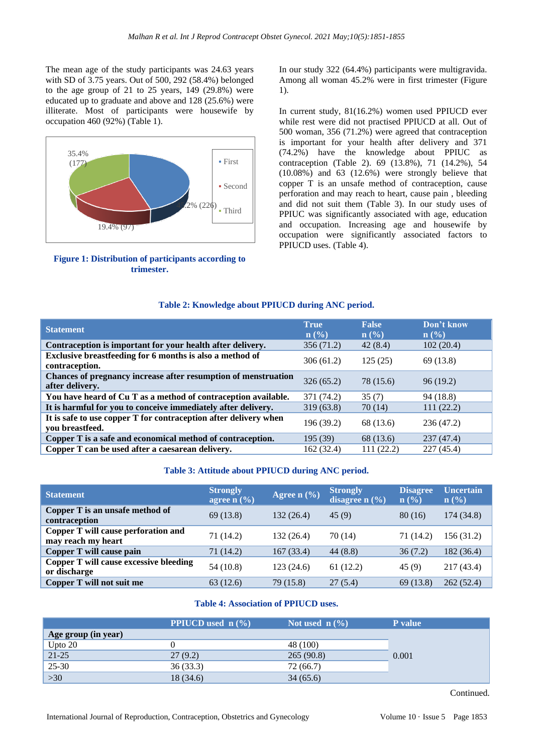The mean age of the study participants was 24.63 years with SD of 3.75 years. Out of 500, 292 (58.4%) belonged to the age group of 21 to 25 years, 149 (29.8%) were educated up to graduate and above and 128 (25.6%) were illiterate. Most of participants were housewife by occupation 460 (92%) (Table 1).



#### **Figure 1: Distribution of participants according to trimester.**

In our study 322 (64.4%) participants were multigravida. Among all woman 45.2% were in first trimester (Figure 1).

In current study, 81(16.2%) women used PPIUCD ever while rest were did not practised PPIUCD at all. Out of 500 woman, 356 (71.2%) were agreed that contraception is important for your health after delivery and 371 (74.2%) have the knowledge about PPIUC as contraception (Table 2). 69 (13.8%), 71 (14.2%), 54 (10.08%) and 63 (12.6%) were strongly believe that copper T is an unsafe method of contraception, cause perforation and may reach to heart, cause pain , bleeding and did not suit them (Table 3). In our study uses of PPIUC was significantly associated with age, education and occupation. Increasing age and housewife by occupation were significantly associated factors to PPIUCD uses. (Table 4).

#### **Table 2: Knowledge about PPIUCD during ANC period.**

| <b>Statement</b>                                                                    | <b>True</b><br>$\mathbf{n}(\%)$ | <b>False</b><br>$\mathbf{n}(\%)$ | Don't know<br>$\mathbf{n}(\%)$ |
|-------------------------------------------------------------------------------------|---------------------------------|----------------------------------|--------------------------------|
| Contraception is important for your health after delivery.                          | 356(71.2)                       | 42(8.4)                          | 102(20.4)                      |
| Exclusive breastfeeding for 6 months is also a method of<br>contraception.          | 306(61.2)                       | 125(25)                          | 69 (13.8)                      |
| Chances of pregnancy increase after resumption of menstruation<br>after delivery.   | 326(65.2)                       | 78 (15.6)                        | 96(19.2)                       |
| You have heard of Cu T as a method of contraception available.                      | 371 (74.2)                      | 35(7)                            | 94 (18.8)                      |
| It is harmful for you to conceive immediately after delivery.                       | 319(63.8)                       | 70 (14)                          | 111(22.2)                      |
| It is safe to use copper T for contraception after delivery when<br>you breastfeed. | 196 (39.2)                      | 68 (13.6)                        | 236 (47.2)                     |
| Copper T is a safe and economical method of contraception.                          | 195(39)                         | 68 (13.6)                        | 237(47.4)                      |
| Copper T can be used after a caesarean delivery.                                    | 162 (32.4)                      | 111(22.2)                        | 227 (45.4)                     |

#### **Table 3: Attitude about PPIUCD during ANC period.**

| <b>Statement</b>                                          | <b>Strongly</b><br>agree $n$ $\left(\frac{9}{6}\right)$ | Agree $n$ (%) | <b>Strongly</b><br>disagree $n$ (%) | <b>Disagree</b><br>$\mathbf{n}(\%)$ | <b>Uncertain</b><br>$\mathbf{n}(\%)$ |
|-----------------------------------------------------------|---------------------------------------------------------|---------------|-------------------------------------|-------------------------------------|--------------------------------------|
| Copper T is an unsafe method of<br>contraception          | 69(13.8)                                                | 132(26.4)     | 45(9)                               | 80(16)                              | 174 (34.8)                           |
| Copper T will cause perforation and<br>may reach my heart | 71 (14.2)                                               | 132 (26.4)    | 70 (14)                             | 71 (14.2)                           | 156 (31.2)                           |
| Copper T will cause pain                                  | 71 (14.2)                                               | 167(33.4)     | 44(8.8)                             | 36(7.2)                             | 182 (36.4)                           |
| Copper T will cause excessive bleeding<br>or discharge    | 54 (10.8)                                               | 123(24.6)     | 61(12.2)                            | 45(9)                               | 217 (43.4)                           |
| Copper T will not suit me                                 | 63(12.6)                                                | 79 (15.8)     | 27(5.4)                             | 69(13.8)                            | 262(52.4)                            |

## **Table 4: Association of PPIUCD uses.**

|                     | PPIUCD used n (%) | Not used $\ln(\frac{9}{6})$ | <b>P</b> value |
|---------------------|-------------------|-----------------------------|----------------|
| Age group (in year) |                   |                             |                |
| Upto 20             |                   | 48 (100)                    |                |
| $21 - 25$           | 27(9.2)           | 265(90.8)                   | 0.001          |
| $25 - 30$           | 36(33.3)          | 72 (66.7)                   |                |
| $>30$               | 18 (34.6)         | 34(65.6)                    |                |

Continued.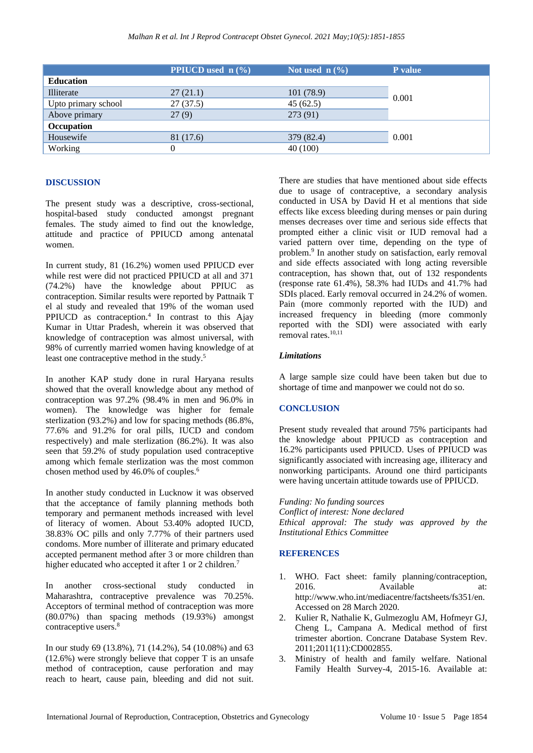|                     | <b>PPIUCD</b> used $n$ (%) | Not used $n$ (%) | P value |  |
|---------------------|----------------------------|------------------|---------|--|
| <b>Education</b>    |                            |                  |         |  |
| Illiterate          | 27(21.1)                   | 101(78.9)        | 0.001   |  |
| Upto primary school | 27(37.5)                   | 45(62.5)         |         |  |
| Above primary       | 27(9)                      | 273 (91)         |         |  |
| Occupation          |                            |                  |         |  |
| Housewife           | 81 (17.6)                  | 379 (82.4)       | 0.001   |  |
| Working             | $^{(1)}$                   | 40 (100)         |         |  |

#### **DISCUSSION**

The present study was a descriptive, cross-sectional, hospital-based study conducted amongst pregnant females. The study aimed to find out the knowledge, attitude and practice of PPIUCD among antenatal women.

In current study, 81 (16.2%) women used PPIUCD ever while rest were did not practiced PPIUCD at all and 371 (74.2%) have the knowledge about PPIUC as contraception. Similar results were reported by Pattnaik T el al study and revealed that 19% of the woman used PPIUCD as contraception. $4$  In contrast to this Ajay Kumar in Uttar Pradesh, wherein it was observed that knowledge of contraception was almost universal, with 98% of currently married women having knowledge of at least one contraceptive method in the study.<sup>5</sup>

In another KAP study done in rural Haryana results showed that the overall knowledge about any method of contraception was 97.2% (98.4% in men and 96.0% in women). The knowledge was higher for female sterlization (93.2%) and low for spacing methods (86.8%, 77.6% and 91.2% for oral pills, IUCD and condom respectively) and male sterlization (86.2%). It was also seen that 59.2% of study population used contraceptive among which female sterlization was the most common chosen method used by 46.0% of couples.<sup>6</sup>

In another study conducted in Lucknow it was observed that the acceptance of family planning methods both temporary and permanent methods increased with level of literacy of women. About 53.40% adopted IUCD, 38.83% OC pills and only 7.77% of their partners used condoms. More number of illiterate and primary educated accepted permanent method after 3 or more children than higher educated who accepted it after 1 or 2 children.<sup>7</sup>

In another cross-sectional study conducted in Maharashtra, contraceptive prevalence was 70.25%. Acceptors of terminal method of contraception was more (80.07%) than spacing methods (19.93%) amongst contraceptive users.<sup>8</sup>

In our study 69 (13.8%), 71 (14.2%), 54 (10.08%) and 63 (12.6%) were strongly believe that copper T is an unsafe method of contraception, cause perforation and may reach to heart, cause pain, bleeding and did not suit. There are studies that have mentioned about side effects due to usage of contraceptive, a secondary analysis conducted in USA by David H et al mentions that side effects like excess bleeding during menses or pain during menses decreases over time and serious side effects that prompted either a clinic visit or IUD removal had a varied pattern over time, depending on the type of problem.<sup>9</sup> In another study on satisfaction, early removal and side effects associated with long acting reversible contraception, has shown that, out of 132 respondents (response rate 61.4%), 58.3% had IUDs and 41.7% had SDIs placed. Early removal occurred in 24.2% of women. Pain (more commonly reported with the IUD) and increased frequency in bleeding (more commonly reported with the SDI) were associated with early removal rates.10,11

#### *Limitations*

A large sample size could have been taken but due to shortage of time and manpower we could not do so.

## **CONCLUSION**

Present study revealed that around 75% participants had the knowledge about PPIUCD as contraception and 16.2% participants used PPIUCD. Uses of PPIUCD was significantly associated with increasing age, illiteracy and nonworking participants. Around one third participants were having uncertain attitude towards use of PPIUCD.

*Funding: No funding sources Conflict of interest: None declared Ethical approval: The study was approved by the Institutional Ethics Committee*

#### **REFERENCES**

- 1. WHO. Fact sheet: family planning/contraception, 2016. Available at: http://www.who.int/mediacentre/factsheets/fs351/en. Accessed on 28 March 2020.
- 2. Kulier R, Nathalie K, Gulmezoglu AM, Hofmeyr GJ, Cheng L, Campana A. Medical method of first trimester abortion. Concrane Database System Rev. 2011;2011(11):CD002855.
- 3. Ministry of health and family welfare. National Family Health Survey-4, 2015-16. Available at: